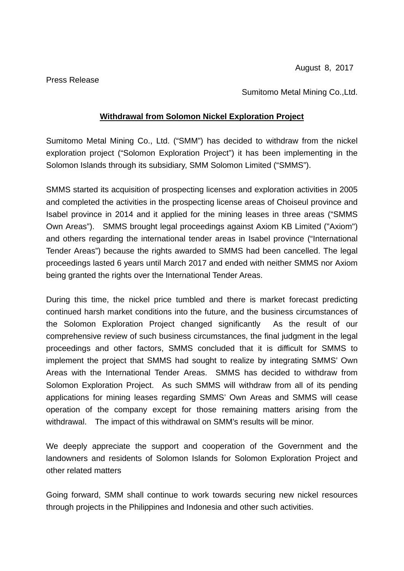Press Release

Sumitomo Metal Mining Co.,Ltd.

## **Withdrawal from Solomon Nickel Exploration Project**

Sumitomo Metal Mining Co., Ltd. ("SMM") has decided to withdraw from the nickel exploration project ("Solomon Exploration Project") it has been implementing in the Solomon Islands through its subsidiary, SMM Solomon Limited ("SMMS").

SMMS started its acquisition of prospecting licenses and exploration activities in 2005 and completed the activities in the prospecting license areas of Choiseul province and Isabel province in 2014 and it applied for the mining leases in three areas ("SMMS Own Areas"). SMMS brought legal proceedings against Axiom KB Limited ("Axiom") and others regarding the international tender areas in Isabel province ("International Tender Areas") because the rights awarded to SMMS had been cancelled. The legal proceedings lasted 6 years until March 2017 and ended with neither SMMS nor Axiom being granted the rights over the International Tender Areas.

During this time, the nickel price tumbled and there is market forecast predicting continued harsh market conditions into the future, and the business circumstances of the Solomon Exploration Project changed significantly As the result of our comprehensive review of such business circumstances, the final judgment in the legal proceedings and other factors, SMMS concluded that it is difficult for SMMS to implement the project that SMMS had sought to realize by integrating SMMS' Own Areas with the International Tender Areas. SMMS has decided to withdraw from Solomon Exploration Project. As such SMMS will withdraw from all of its pending applications for mining leases regarding SMMS' Own Areas and SMMS will cease operation of the company except for those remaining matters arising from the withdrawal. The impact of this withdrawal on SMM's results will be minor.

We deeply appreciate the support and cooperation of the Government and the landowners and residents of Solomon Islands for Solomon Exploration Project and other related matters

Going forward, SMM shall continue to work towards securing new nickel resources through projects in the Philippines and Indonesia and other such activities.